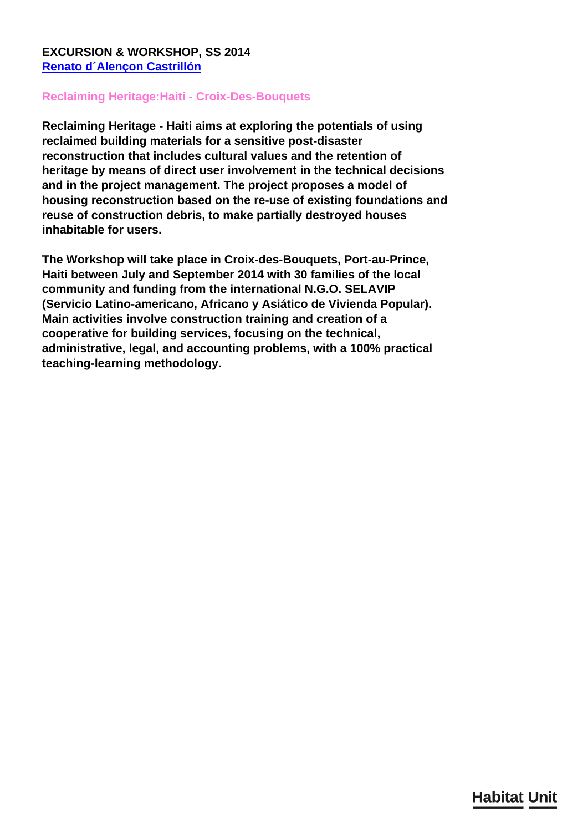## **EXCURSION & WORKSHOP, SS 2014 [Renato d´Alençon Castrillón](/en/team/renato-dalenon-castrilln/)**

## **Reclaiming Heritage:Haiti - Croix-Des-Bouquets**

**Reclaiming Heritage - Haiti aims at exploring the potentials of using reclaimed building materials for a sensitive post-disaster reconstruction that includes cultural values and the retention of heritage by means of direct user involvement in the technical decisions and in the project management. The project proposes a model of housing reconstruction based on the re-use of existing foundations and reuse of construction debris, to make partially destroyed houses inhabitable for users.**

**The Workshop will take place in Croix-des-Bouquets, Port-au-Prince, Haiti between July and September 2014 with 30 families of the local community and funding from the international N.G.O. SELAVIP (Servicio Latino-americano, Africano y Asiático de Vivienda Popular). Main activities involve construction training and creation of a cooperative for building services, focusing on the technical, administrative, legal, and accounting problems, with a 100% practical teaching-learning methodology.**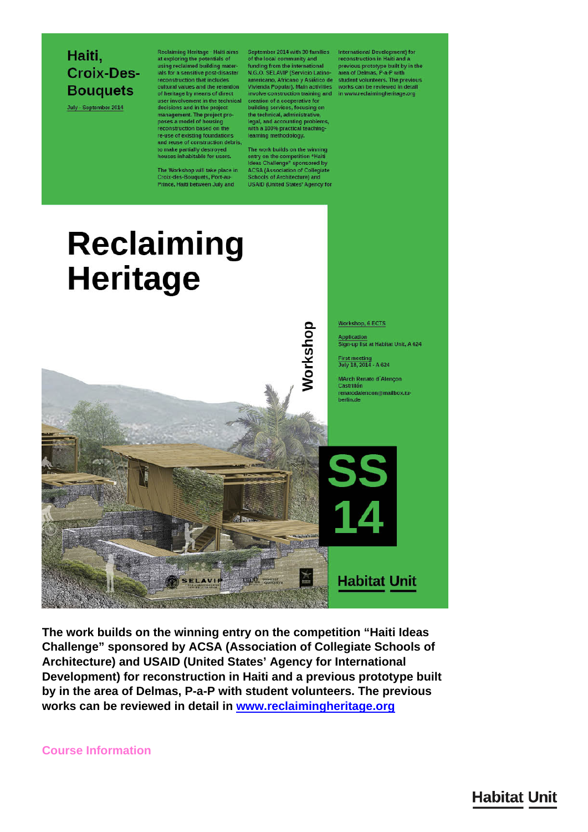## Haiti, **Croix-Des-Bouquets**

July - September 2014

Reclaiming Heritage - Haiti aims<br>at exploring the potentials of<br>using reclaimed building materials for a sensitive post-disaster decisions and in the project management. The project pro-<br>poses a model of housing<br>reconstruction based on the re-use of existing foundations<br>and reuse of construction debris, to make partially destroyed<br>houses inhabitable for users.

The Workshop will take place in<br>Croix-des-Bouquets, Port-au-<br>Prince, Haiti between July and

September 2014 with 30 families<br>of the local community and funding from the international<br>N.G.O. SELAVIP (Servicio Latinoexponentiation that includes<br>reconstruction that includes<br>the americano, Africano y Asiático de student volumeers. The previous<br>cultural values and the retention Vivienda Popular). Main activities works can be reviewed in building services, focusing on<br>the technical, administrative, legal, and accounting problems<br>with a 100% practical teachinglearning methodology.

> The work builds on the winning<br>entry on the competition "Haiti<br>Ideas Challenge" sponsored by **ACSA (Association of Collegiate** Schools of Architecture) and **USAID (United States' Agency for**

International Development) for<br>reconstruction in Haiti and a previous prototype built by in the<br>area of Delmas, P-a-P with



The work builds on the winning entry on the competition "Haiti Ideas" Challenge" sponsored by ACSA (Association of Collegiate Schools of Architecture) and USAID (United States' Agency for International Development) for reconstruction in Haiti and a previous prototype built by in the area of Delmas, P-a-P with student volunteers. The previous works can be reviewed in detail in www.reclaimingheritage.org

**Course Information** 

## **Habitat Unit**